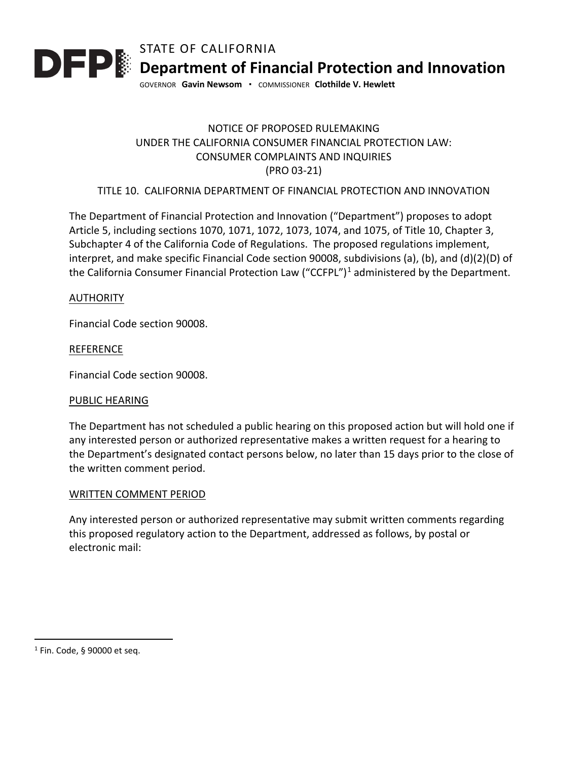

# NOTICE OF PROPOSED RULEMAKING UNDER THE CALIFORNIA CONSUMER FINANCIAL PROTECTION LAW: CONSUMER COMPLAINTS AND INQUIRIES (PRO 03-21)

## TITLE 10. CALIFORNIA DEPARTMENT OF FINANCIAL PROTECTION AND INNOVATION

The Department of Financial Protection and Innovation ("Department") proposes to adopt Article 5, including sections 1070, 1071, 1072, 1073, 1074, and 1075, of Title 10, Chapter 3, Subchapter 4 of the California Code of Regulations. The proposed regulations implement, interpret, and make specific Financial Code section 90008, subdivisions (a), (b), and (d)(2)(D) of the California Consumer Financial Protection Law ("CCFPL")<sup>[1](#page-0-0)</sup> administered by the Department.

### AUTHORITY

Financial Code section 90008.

### REFERENCE

Financial Code section 90008.

#### PUBLIC HEARING

The Department has not scheduled a public hearing on this proposed action but will hold one if any interested person or authorized representative makes a written request for a hearing to the Department's designated contact persons below, no later than 15 days prior to the close of the written comment period.

#### WRITTEN COMMENT PERIOD

Any interested person or authorized representative may submit written comments regarding this proposed regulatory action to the Department, addressed as follows, by postal or electronic mail:

<span id="page-0-0"></span> $1$  Fin. Code, § 90000 et seq.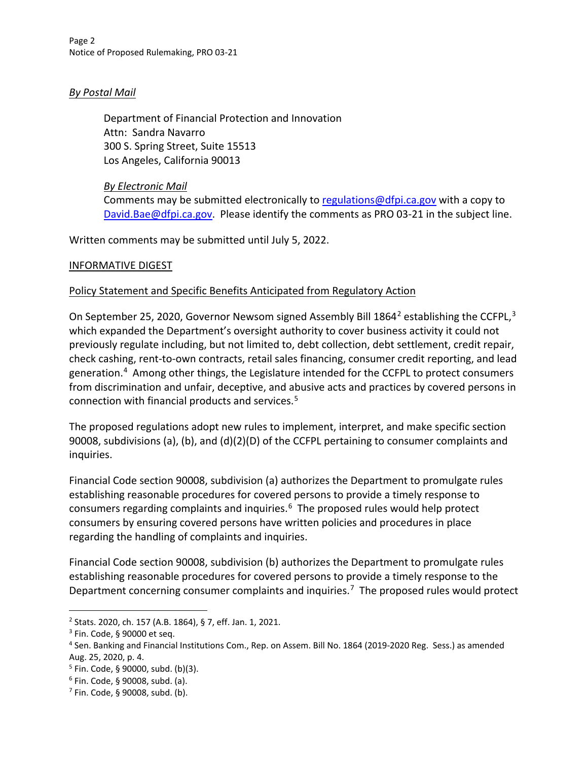## *By Postal Mail*

Department of Financial Protection and Innovation Attn: Sandra Navarro 300 S. Spring Street, Suite 15513 Los Angeles, California 90013

### *By Electronic Mail*

Comments may be submitted electronically to regulations @dfpi.ca.gov with a copy to [David.Bae@dfpi.ca.gov.](mailto:David.Bae@dfpi.ca.gov) Please identify the comments as PRO 03-21 in the subject line.

Written comments may be submitted until July 5, 2022.

### INFORMATIVE DIGEST

### Policy Statement and Specific Benefits Anticipated from Regulatory Action

On September [2](#page-1-0)5, 2020, Governor Newsom signed Assembly Bill 1864<sup>2</sup> establishing the CCFPL,<sup>[3](#page-1-1)</sup> which expanded the Department's oversight authority to cover business activity it could not previously regulate including, but not limited to, debt collection, debt settlement, credit repair, check cashing, rent-to-own contracts, retail sales financing, consumer credit reporting, and lead generation.<sup>[4](#page-1-2)</sup> Among other things, the Legislature intended for the CCFPL to protect consumers from discrimination and unfair, deceptive, and abusive acts and practices by covered persons in connection with financial products and services.[5](#page-1-3) 

The proposed regulations adopt new rules to implement, interpret, and make specific section 90008, subdivisions (a), (b), and (d)(2)(D) of the CCFPL pertaining to consumer complaints and inquiries.

Financial Code section 90008, subdivision (a) authorizes the Department to promulgate rules establishing reasonable procedures for covered persons to provide a timely response to consumers regarding complaints and inquiries.<sup>[6](#page-1-4)</sup> The proposed rules would help protect consumers by ensuring covered persons have written policies and procedures in place regarding the handling of complaints and inquiries.

Financial Code section 90008, subdivision (b) authorizes the Department to promulgate rules establishing reasonable procedures for covered persons to provide a timely response to the Department concerning consumer complaints and inquiries.<sup>7</sup> The proposed rules would protect

<span id="page-1-0"></span><sup>2</sup> Stats. 2020, ch. 157 (A.B. 1864), § 7, eff. Jan. 1, 2021.

<span id="page-1-1"></span><sup>3</sup> Fin. Code, § 90000 et seq.

<span id="page-1-2"></span><sup>4</sup> Sen. Banking and Financial Institutions Com., Rep. on Assem. Bill No. 1864 (2019-2020 Reg. Sess.) as amended Aug. 25, 2020, p. 4.

<span id="page-1-3"></span> $5$  Fin. Code, § 90000, subd. (b)(3).

<span id="page-1-4"></span><sup>6</sup> Fin. Code, § 90008, subd. (a).

<span id="page-1-5"></span> $7$  Fin. Code, § 90008, subd. (b).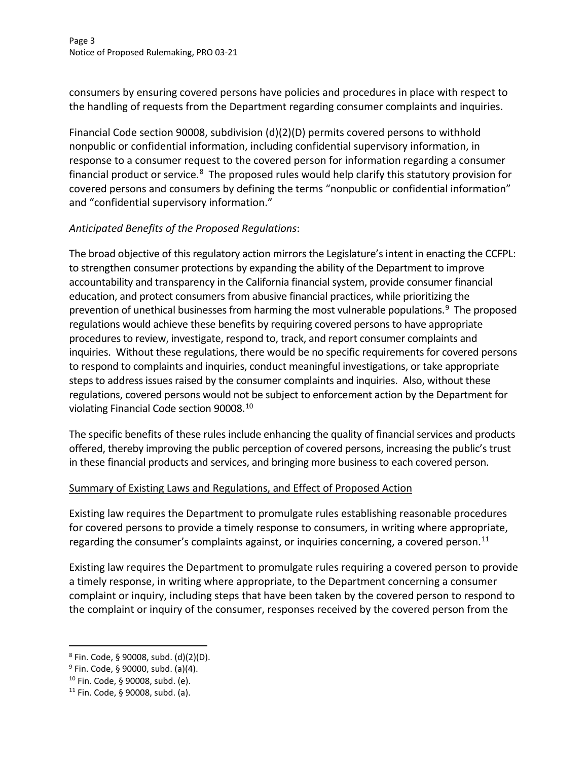Page 3 Notice of Proposed Rulemaking, PRO 03-21

consumers by ensuring covered persons have policies and procedures in place with respect to the handling of requests from the Department regarding consumer complaints and inquiries.

Financial Code section 90008, subdivision (d)(2)(D) permits covered persons to withhold nonpublic or confidential information, including confidential supervisory information, in response to a consumer request to the covered person for information regarding a consumer financial product or service.<sup>8</sup> The proposed rules would help clarify this statutory provision for covered persons and consumers by defining the terms "nonpublic or confidential information" and "confidential supervisory information."

# *Anticipated Benefits of the Proposed Regulations*:

The broad objective of this regulatory action mirrors the Legislature's intent in enacting the CCFPL: to strengthen consumer protections by expanding the ability of the Department to improve accountability and transparency in the California financial system, provide consumer financial education, and protect consumers from abusive financial practices, while prioritizing the prevention of unethical businesses from harming the most vulnerable populations. [9](#page-2-1) The proposed regulations would achieve these benefits by requiring covered persons to have appropriate procedures to review, investigate, respond to, track, and report consumer complaints and inquiries. Without these regulations, there would be no specific requirements for covered persons to respond to complaints and inquiries, conduct meaningful investigations, or take appropriate steps to address issues raised by the consumer complaints and inquiries. Also, without these regulations, covered persons would not be subject to enforcement action by the Department for violating Financial Code section 90008. [10](#page-2-2)

The specific benefits of these rules include enhancing the quality of financial services and products offered, thereby improving the public perception of covered persons, increasing the public's trust in these financial products and services, and bringing more business to each covered person.

### Summary of Existing Laws and Regulations, and Effect of Proposed Action

Existing law requires the Department to promulgate rules establishing reasonable procedures for covered persons to provide a timely response to consumers, in writing where appropriate, regarding the consumer's complaints against, or inquiries concerning, a covered person.<sup>11</sup>

Existing law requires the Department to promulgate rules requiring a covered person to provide a timely response, in writing where appropriate, to the Department concerning a consumer complaint or inquiry, including steps that have been taken by the covered person to respond to the complaint or inquiry of the consumer, responses received by the covered person from the

<span id="page-2-0"></span><sup>8</sup> Fin. Code, § 90008, subd. (d)(2)(D).

<span id="page-2-1"></span> $9$  Fin. Code, § 90000, subd. (a)(4).

<span id="page-2-2"></span><sup>10</sup> Fin. Code, § 90008, subd. (e).

<span id="page-2-3"></span> $11$  Fin. Code, § 90008, subd. (a).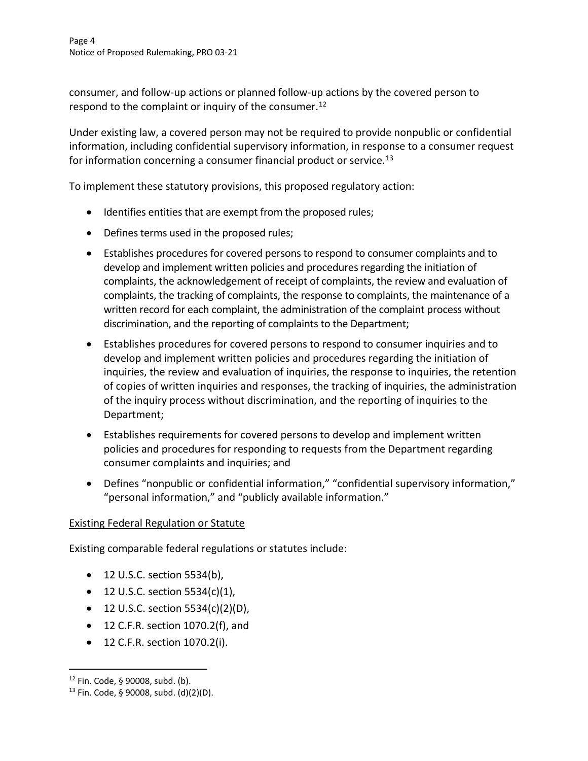consumer, and follow-up actions or planned follow-up actions by the covered person to respond to the complaint or inquiry of the consumer.<sup>[12](#page-3-0)</sup>

Under existing law, a covered person may not be required to provide nonpublic or confidential information, including confidential supervisory information, in response to a consumer request for information concerning a consumer financial product or service.<sup>[13](#page-3-1)</sup>

To implement these statutory provisions, this proposed regulatory action:

- Identifies entities that are exempt from the proposed rules;
- Defines terms used in the proposed rules;
- Establishes procedures for covered persons to respond to consumer complaints and to develop and implement written policies and procedures regarding the initiation of complaints, the acknowledgement of receipt of complaints, the review and evaluation of complaints, the tracking of complaints, the response to complaints, the maintenance of a written record for each complaint, the administration of the complaint process without discrimination, and the reporting of complaints to the Department;
- Establishes procedures for covered persons to respond to consumer inquiries and to develop and implement written policies and procedures regarding the initiation of inquiries, the review and evaluation of inquiries, the response to inquiries, the retention of copies of written inquiries and responses, the tracking of inquiries, the administration of the inquiry process without discrimination, and the reporting of inquiries to the Department;
- Establishes requirements for covered persons to develop and implement written policies and procedures for responding to requests from the Department regarding consumer complaints and inquiries; and
- Defines "nonpublic or confidential information," "confidential supervisory information," "personal information," and "publicly available information."

### Existing Federal Regulation or Statute

Existing comparable federal regulations or statutes include:

- 12 U.S.C. section 5534(b),
- 12 U.S.C. section  $5534(c)(1)$ ,
- 12 U.S.C. section  $5534(c)(2)(D)$ ,
- 12 C.F.R. section 1070.2(f), and
- 12 C.F.R. section 1070.2(i).

<span id="page-3-0"></span><sup>12</sup> Fin. Code, § 90008, subd. (b).

<span id="page-3-1"></span><sup>13</sup> Fin. Code, § 90008, subd. (d)(2)(D).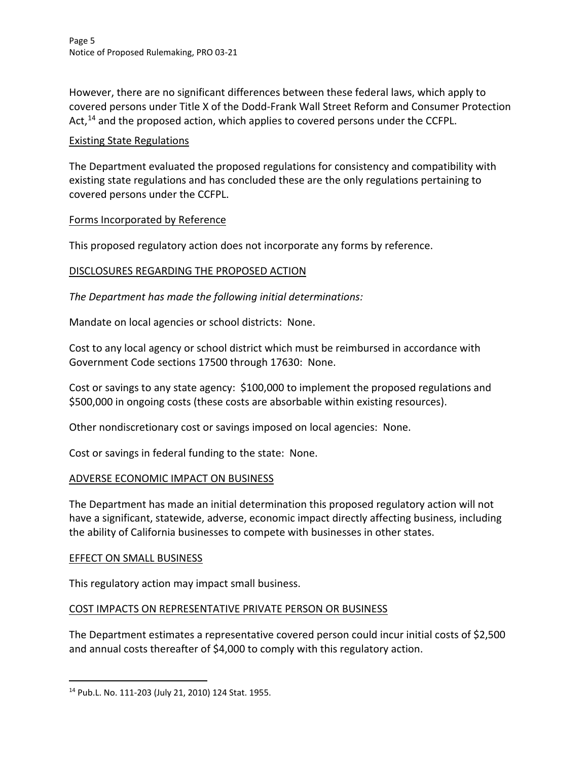However, there are no significant differences between these federal laws, which apply to covered persons under Title X of the Dodd-Frank Wall Street Reform and Consumer Protection Act,<sup>14</sup> and the proposed action, which applies to covered persons under the CCFPL.

### Existing State Regulations

The Department evaluated the proposed regulations for consistency and compatibility with existing state regulations and has concluded these are the only regulations pertaining to covered persons under the CCFPL.

## Forms Incorporated by Reference

This proposed regulatory action does not incorporate any forms by reference.

## DISCLOSURES REGARDING THE PROPOSED ACTION

*The Department has made the following initial determinations:*

Mandate on local agencies or school districts: None.

Cost to any local agency or school district which must be reimbursed in accordance with Government Code sections 17500 through 17630: None.

Cost or savings to any state agency: \$100,000 to implement the proposed regulations and \$500,000 in ongoing costs (these costs are absorbable within existing resources).

Other nondiscretionary cost or savings imposed on local agencies: None.

Cost or savings in federal funding to the state: None.

### ADVERSE ECONOMIC IMPACT ON BUSINESS

The Department has made an initial determination this proposed regulatory action will not have a significant, statewide, adverse, economic impact directly affecting business, including the ability of California businesses to compete with businesses in other states.

### EFFECT ON SMALL BUSINESS

This regulatory action may impact small business.

### COST IMPACTS ON REPRESENTATIVE PRIVATE PERSON OR BUSINESS

The Department estimates a representative covered person could incur initial costs of \$2,500 and annual costs thereafter of \$4,000 to comply with this regulatory action.

<span id="page-4-0"></span><sup>14</sup> Pub.L. No. 111-203 (July 21, 2010) 124 Stat. 1955.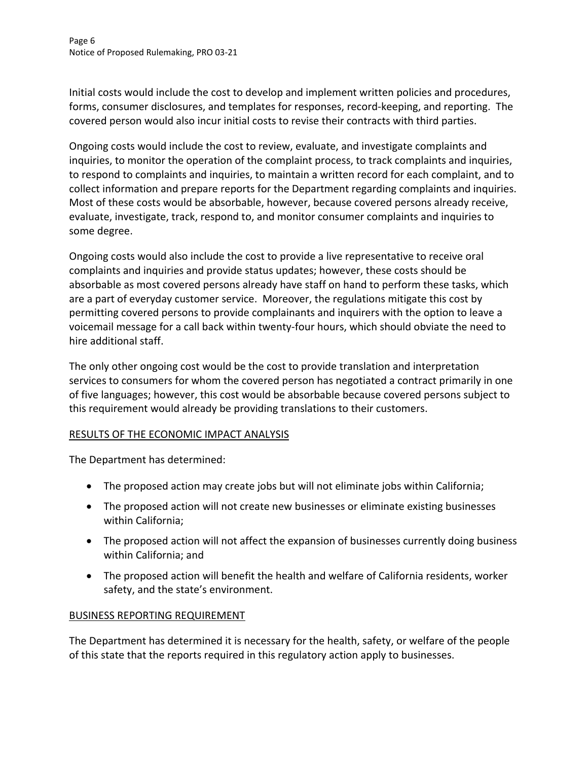Initial costs would include the cost to develop and implement written policies and procedures, forms, consumer disclosures, and templates for responses, record-keeping, and reporting. The covered person would also incur initial costs to revise their contracts with third parties.

Ongoing costs would include the cost to review, evaluate, and investigate complaints and inquiries, to monitor the operation of the complaint process, to track complaints and inquiries, to respond to complaints and inquiries, to maintain a written record for each complaint, and to collect information and prepare reports for the Department regarding complaints and inquiries. Most of these costs would be absorbable, however, because covered persons already receive, evaluate, investigate, track, respond to, and monitor consumer complaints and inquiries to some degree.

Ongoing costs would also include the cost to provide a live representative to receive oral complaints and inquiries and provide status updates; however, these costs should be absorbable as most covered persons already have staff on hand to perform these tasks, which are a part of everyday customer service. Moreover, the regulations mitigate this cost by permitting covered persons to provide complainants and inquirers with the option to leave a voicemail message for a call back within twenty-four hours, which should obviate the need to hire additional staff.

The only other ongoing cost would be the cost to provide translation and interpretation services to consumers for whom the covered person has negotiated a contract primarily in one of five languages; however, this cost would be absorbable because covered persons subject to this requirement would already be providing translations to their customers.

### RESULTS OF THE ECONOMIC IMPACT ANALYSIS

The Department has determined:

- The proposed action may create jobs but will not eliminate jobs within California;
- The proposed action will not create new businesses or eliminate existing businesses within California;
- The proposed action will not affect the expansion of businesses currently doing business within California; and
- The proposed action will benefit the health and welfare of California residents, worker safety, and the state's environment.

# BUSINESS REPORTING REQUIREMENT

The Department has determined it is necessary for the health, safety, or welfare of the people of this state that the reports required in this regulatory action apply to businesses.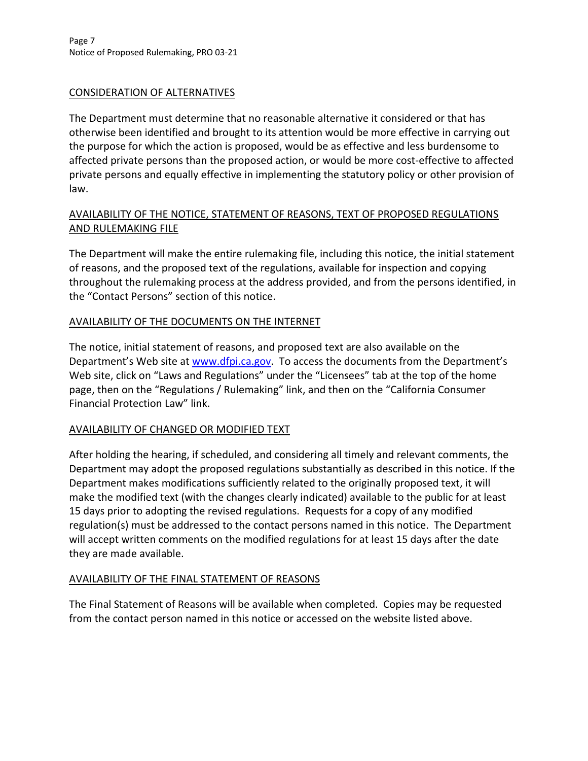### CONSIDERATION OF ALTERNATIVES

The Department must determine that no reasonable alternative it considered or that has otherwise been identified and brought to its attention would be more effective in carrying out the purpose for which the action is proposed, would be as effective and less burdensome to affected private persons than the proposed action, or would be more cost-effective to affected private persons and equally effective in implementing the statutory policy or other provision of law.

# AVAILABILITY OF THE NOTICE, STATEMENT OF REASONS, TEXT OF PROPOSED REGULATIONS AND RULEMAKING FILE

The Department will make the entire rulemaking file, including this notice, the initial statement of reasons, and the proposed text of the regulations, available for inspection and copying throughout the rulemaking process at the address provided, and from the persons identified, in the "Contact Persons" section of this notice.

## AVAILABILITY OF THE DOCUMENTS ON THE INTERNET

The notice, initial statement of reasons, and proposed text are also available on the Department's Web site at [www.dfpi.ca.gov.](http://www.dfpi.ca.gov/) To access the documents from the Department's Web site, click on "Laws and Regulations" under the "Licensees" tab at the top of the home page, then on the "Regulations / Rulemaking" link, and then on the "California Consumer Financial Protection Law" link.

### AVAILABILITY OF CHANGED OR MODIFIED TEXT

After holding the hearing, if scheduled, and considering all timely and relevant comments, the Department may adopt the proposed regulations substantially as described in this notice. If the Department makes modifications sufficiently related to the originally proposed text, it will make the modified text (with the changes clearly indicated) available to the public for at least 15 days prior to adopting the revised regulations. Requests for a copy of any modified regulation(s) must be addressed to the contact persons named in this notice. The Department will accept written comments on the modified regulations for at least 15 days after the date they are made available.

### AVAILABILITY OF THE FINAL STATEMENT OF REASONS

The Final Statement of Reasons will be available when completed. Copies may be requested from the contact person named in this notice or accessed on the website listed above.